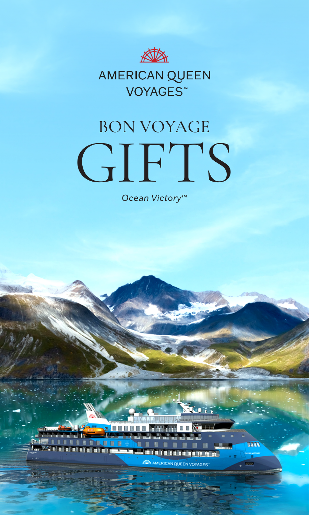

# AMERICAN QUEEN VOYAGES<sup>™</sup>

# BON VOYAGE GIFTS

*Ocean Victory™*

**UBB-**

**The Second** 

**BERKE** 

AMERICAN QUEEN VOYAGES

<u>ing managpa</u>

XU.OT.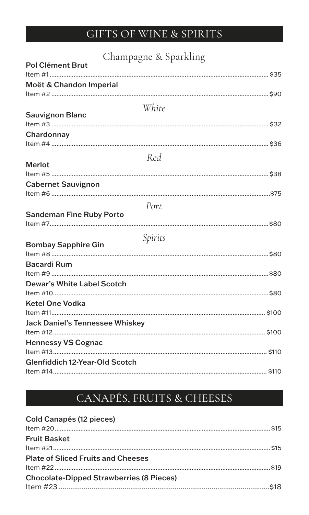## GIFTS OF WINE & SPIRITS

| Champagne & Sparkling                  |  |
|----------------------------------------|--|
| <b>Pol Clément Brut</b>                |  |
|                                        |  |
| Moët & Chandon Imperial                |  |
|                                        |  |
| White                                  |  |
| <b>Sauvignon Blanc</b>                 |  |
|                                        |  |
| Chardonnay                             |  |
|                                        |  |
| Red                                    |  |
| <b>Merlot</b>                          |  |
|                                        |  |
| <b>Cabernet Sauvignon</b>              |  |
|                                        |  |
| Port                                   |  |
| <b>Sandeman Fine Ruby Porto</b>        |  |
|                                        |  |
| Spirits                                |  |
| <b>Bombay Sapphire Gin</b>             |  |
|                                        |  |
| <b>Bacardi Rum</b>                     |  |
|                                        |  |
| <b>Dewar's White Label Scotch</b>      |  |
|                                        |  |
| <b>Ketel One Vodka</b>                 |  |
|                                        |  |
| <b>Jack Daniel's Tennessee Whiskey</b> |  |
|                                        |  |
| <b>Hennessy VS Cognac</b>              |  |
|                                        |  |
| Glenfiddich 12-Year-Old Scotch         |  |
|                                        |  |

## CANAPÉS, FRUITS & CHEESES

#### **Cold Canapés (12 pieces)**

| <b>Fruit Basket</b>                             |  |
|-------------------------------------------------|--|
|                                                 |  |
| <b>Plate of Sliced Fruits and Cheeses</b>       |  |
|                                                 |  |
| <b>Chocolate-Dipped Strawberries (8 Pieces)</b> |  |
|                                                 |  |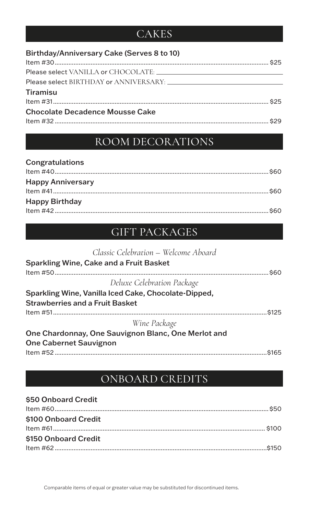#### **CAKES**

| Birthday/Anniversary Cake (Serves 8 to 10) |  |
|--------------------------------------------|--|
|                                            |  |
|                                            |  |
|                                            |  |
| <b>Tiramisu</b>                            |  |
|                                            |  |
| <b>Chocolate Decadence Mousse Cake</b>     |  |
|                                            |  |

### ROOM DECORATIONS

| Congratulations          |  |
|--------------------------|--|
|                          |  |
| <b>Happy Anniversary</b> |  |
|                          |  |
| <b>Happy Birthday</b>    |  |
|                          |  |

#### GIFT PACKAGES

| \$60 |
|------|
|      |
|      |
|      |
| S125 |
|      |
|      |
|      |
|      |
|      |

#### ONBOARD CREDITS

| \$50 Onboard Credit  |  |
|----------------------|--|
|                      |  |
| \$100 Onboard Credit |  |
|                      |  |
| \$150 Onboard Credit |  |
|                      |  |